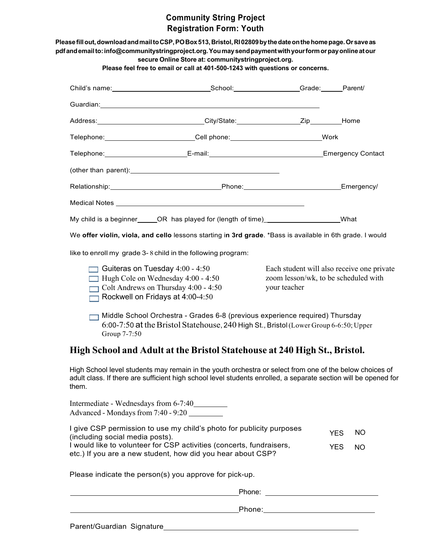# **Community String Project Registration Form: Youth**

|                                                                              | Please feel free to email or call at 401-500-1243 with questions or concerns.                                                                                                                                                       |                                                                                                    |                          |                        |
|------------------------------------------------------------------------------|-------------------------------------------------------------------------------------------------------------------------------------------------------------------------------------------------------------------------------------|----------------------------------------------------------------------------------------------------|--------------------------|------------------------|
|                                                                              | Child's name: Parent/                                                                                                                                                                                                               |                                                                                                    |                          |                        |
|                                                                              |                                                                                                                                                                                                                                     |                                                                                                    |                          |                        |
|                                                                              | Address: Note and City/State: Manual City/State: Manual City/State: Manual City/State: Manual City                                                                                                                                  |                                                                                                    |                          |                        |
|                                                                              | Telephone: Mork                                                                                                                                                                                                                     |                                                                                                    |                          |                        |
|                                                                              | Telephone: E-mail: E-mail: E-mail: E-mail: E-mail: E-mail: E-mail: E-mail: E-mail: E-mail: E-mail: E-mail: E-mail: E-mail: E-mail: E-mail: E-mail: E-mail: E-mail: E-mail: E-mail: E-mail: E-mail: E-mail: E-mail: E-mail: E-m      |                                                                                                    |                          |                        |
|                                                                              | (other than parent): <u>contained</u> and the contained and the contact of the contact of the contact of the contact of the contact of the contact of the contact of the contact of the contact of the contact of the contact of th |                                                                                                    |                          |                        |
|                                                                              |                                                                                                                                                                                                                                     |                                                                                                    |                          | Emergency/             |
|                                                                              |                                                                                                                                                                                                                                     |                                                                                                    |                          |                        |
|                                                                              | My child is a beginner______OR has played for (length of time)_____________________What                                                                                                                                             |                                                                                                    |                          |                        |
|                                                                              | We offer violin, viola, and cello lessons starting in 3rd grade. *Bass is available in 6th grade. I would                                                                                                                           |                                                                                                    |                          |                        |
|                                                                              | like to enroll my grade 3-8 child in the following program:                                                                                                                                                                         |                                                                                                    |                          |                        |
|                                                                              |                                                                                                                                                                                                                                     |                                                                                                    |                          |                        |
| Guiteras on Tuesday $4:00 - 4:50$                                            | Hugh Cole on Wednesday 4:00 - 4:50<br>$\Box$ Colt Andrews on Thursday 4:00 - 4:50<br>Rockwell on Fridays at $4:00-4:50$                                                                                                             | Each student will also receive one private<br>zoom lesson/wk, to be scheduled with<br>your teacher |                          |                        |
| Group 7-7:50                                                                 | Middle School Orchestra - Grades 6-8 (previous experience required) Thursday<br>$6:00-7:50$ at the Bristol Statehouse, 240 High St., Bristol (Lower Group 6-6:50; Upper                                                             |                                                                                                    |                          |                        |
|                                                                              | High School and Adult at the Bristol Statehouse at 240 High St., Bristol.                                                                                                                                                           |                                                                                                    |                          |                        |
| them.                                                                        | High School level students may remain in the youth orchestra or select from one of the below choices of<br>adult class. If there are sufficient high school level students enrolled, a separate section will be opened for          |                                                                                                    |                          |                        |
| Intermediate - Wednesdays from 6-7:40<br>Advanced - Mondays from 7:40 - 9:20 |                                                                                                                                                                                                                                     |                                                                                                    |                          |                        |
| (including social media posts).                                              | I give CSP permission to use my child's photo for publicity purposes<br>I would like to volunteer for CSP activities (concerts, fundraisers,<br>etc.) If you are a new student, how did you hear about CSP?                         |                                                                                                    | <b>YES</b><br><b>YES</b> | <b>NO</b><br><b>NO</b> |
|                                                                              | Please indicate the person(s) you approve for pick-up.                                                                                                                                                                              |                                                                                                    |                          |                        |

Parent/Guardian Signature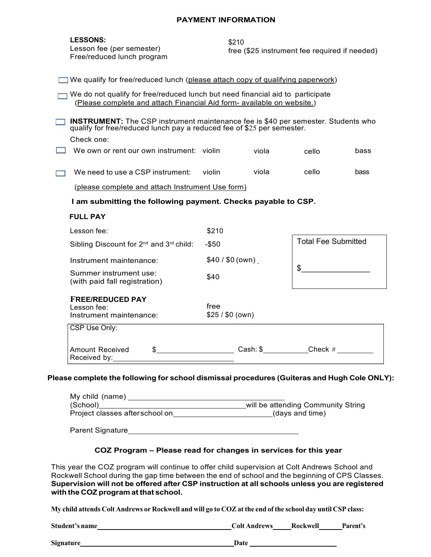#### **PAYMENT INFORMATION**

#### **LESSONS:**

Lesson fee (per semester) Free/reduced lunch program

\$210 free (\$25 instrument fee required if needed)

| We qualify for free/reduced lunch (please attach copy of qualifying paperwork) |
|--------------------------------------------------------------------------------|
|                                                                                |

 $\Box$  We do not qualify for free/reduced lunch but need financial aid to participate (Please complete and attach Financial Aid form- available on website.)

**INSTRUMENT:** The CSP instrument maintenance fee is \$40 per semester. Students who qualify for free/reduced lunch pay a reduced fee of \$25 per semester.

Check one:

- **Ne own or rent our own instrument:** violin viola cello bass
- We need to use a CSP instrument: violin viola cello bass

(please complete and attach Instrument Use form)

**I am submitting the following payment. Checks payable to CSP.**

| FUL | ΑY |
|-----|----|
|     |    |

| Lesson fee:                                                       | \$210                    |                            |
|-------------------------------------------------------------------|--------------------------|----------------------------|
| Sibling Discount for 2 <sup>nd</sup> and 3 <sup>rd</sup> child:   | $-$ \$50                 | <b>Total Fee Submitted</b> |
| Instrument maintenance:                                           | \$40 / \$0 (own)         | \$                         |
| Summer instrument use:<br>(with paid fall registration)           | \$40                     |                            |
| <b>FREE/REDUCED PAY</b><br>Lesson fee:<br>Instrument maintenance: | free<br>\$25 / \$0 (own) |                            |
| CSP Use Only:                                                     |                          |                            |
| Amount Received<br>Received by:                                   | Cash: \$                 | Check $#$                  |

### **Please complete the following for school dismissal procedures (Guiteras and Hugh Cole ONLY):**

| My child (name)                |                                    |
|--------------------------------|------------------------------------|
| (School)                       | will be attending Community String |
| Project classes afterschool on | (days and time)                    |

Parent Signature **Parameters** 

### **COZ Program – Please read for changes in services for this year**

This year the COZ program will continue to offer child supervision at Colt Andrews School and Rockwell School during the gap time between the end of school and the beginning of CPS Classes. **Supervision will not be offered after CSP instruction at all schools unless you are registered with the COZ program at that school.**

My child attends Colt Andrews or Rockwell and will go to COZ at the end of the school day until CSP class:

**Student's name** Parent's **Parent's Colt Andrews Rockwell Parent's** 

**Signature Date**